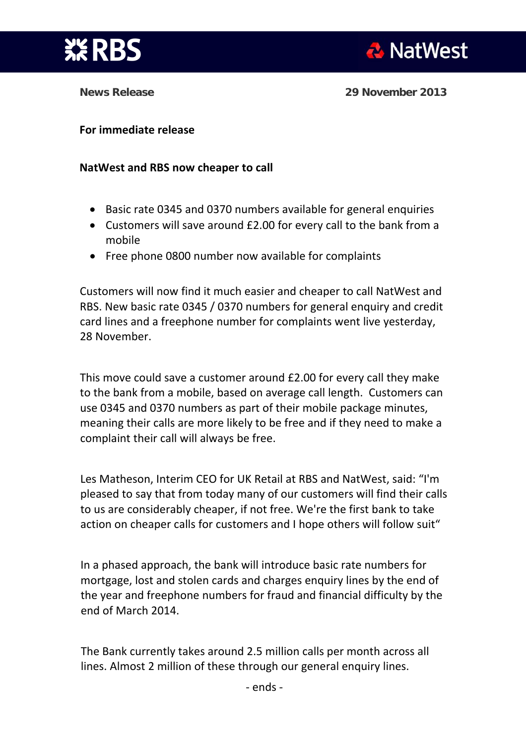

**News Release 29 November 2013** 

## **For immediate release**

## **NatWest and RBS now cheaper to call**

- Basic rate 0345 and 0370 numbers available for general enquiries
- Customers will save around £2.00 for every call to the bank from a mobile
- Free phone 0800 number now available for complaints

Customers will now find it much easier and cheaper to call NatWest and RBS. New basic rate 0345 / 0370 numbers for general enquiry and credit card lines and a freephone number for complaints went live yesterday, 28 November.

This move could save a customer around £2.00 for every call they make to the bank from a mobile, based on average call length. Customers can use 0345 and 0370 numbers as part of their mobile package minutes, meaning their calls are more likely to be free and if they need to make a complaint their call will always be free.

Les Matheson, Interim CEO for UK Retail at RBS and NatWest, said: "I'm pleased to say that from today many of our customers will find their calls to us are considerably cheaper, if not free. We're the first bank to take action on cheaper calls for customers and I hope others will follow suit"

In a phased approach, the bank will introduce basic rate numbers for mortgage, lost and stolen cards and charges enquiry lines by the end of the year and freephone numbers for fraud and financial difficulty by the end of March 2014.

The Bank currently takes around 2.5 million calls per month across all lines. Almost 2 million of these through our general enquiry lines.